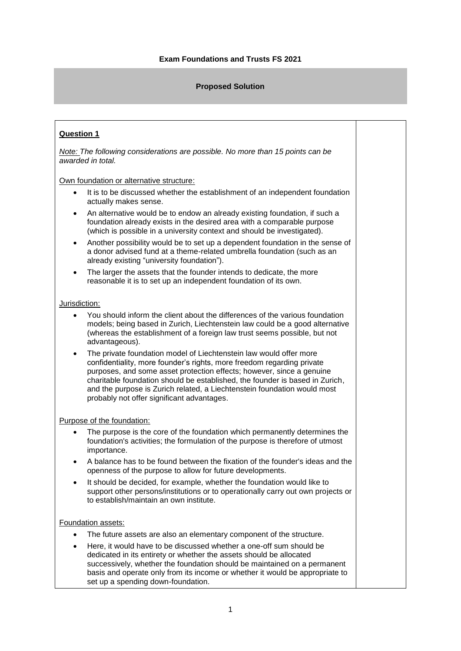### **Proposed Solution**

# **Question 1**

*Note: The following considerations are possible. No more than 15 points can be awarded in total.*

Own foundation or alternative structure:

- It is to be discussed whether the establishment of an independent foundation actually makes sense.
- An alternative would be to endow an already existing foundation, if such a foundation already exists in the desired area with a comparable purpose (which is possible in a university context and should be investigated).
- Another possibility would be to set up a dependent foundation in the sense of a donor advised fund at a theme-related umbrella foundation (such as an already existing "university foundation").
- The larger the assets that the founder intends to dedicate, the more reasonable it is to set up an independent foundation of its own.

#### Jurisdiction:

- You should inform the client about the differences of the various foundation models; being based in Zurich, Liechtenstein law could be a good alternative (whereas the establishment of a foreign law trust seems possible, but not advantageous).
- The private foundation model of Liechtenstein law would offer more confidentiality, more founder's rights, more freedom regarding private purposes, and some asset protection effects; however, since a genuine charitable foundation should be established, the founder is based in Zurich, and the purpose is Zurich related, a Liechtenstein foundation would most probably not offer significant advantages.

#### Purpose of the foundation:

- The purpose is the core of the foundation which permanently determines the foundation's activities; the formulation of the purpose is therefore of utmost importance.
- A balance has to be found between the fixation of the founder's ideas and the openness of the purpose to allow for future developments.
- It should be decided, for example, whether the foundation would like to support other persons/institutions or to operationally carry out own projects or to establish/maintain an own institute.

#### Foundation assets:

- The future assets are also an elementary component of the structure.
- Here, it would have to be discussed whether a one-off sum should be dedicated in its entirety or whether the assets should be allocated successively, whether the foundation should be maintained on a permanent basis and operate only from its income or whether it would be appropriate to set up a spending down-foundation.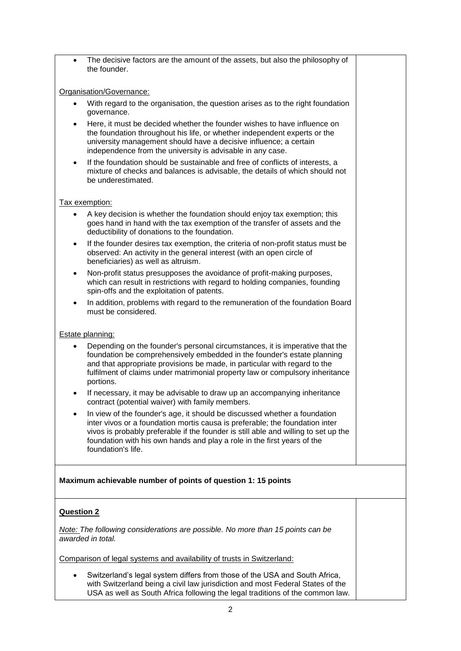The decisive factors are the amount of the assets, but also the philosophy of the founder.

### Organisation/Governance:

- With regard to the organisation, the question arises as to the right foundation governance.
- Here, it must be decided whether the founder wishes to have influence on the foundation throughout his life, or whether independent experts or the university management should have a decisive influence; a certain independence from the university is advisable in any case.
- If the foundation should be sustainable and free of conflicts of interests, a mixture of checks and balances is advisable, the details of which should not be underestimated.

#### Tax exemption:

- A key decision is whether the foundation should enjoy tax exemption; this goes hand in hand with the tax exemption of the transfer of assets and the deductibility of donations to the foundation.
- If the founder desires tax exemption, the criteria of non-profit status must be observed: An activity in the general interest (with an open circle of beneficiaries) as well as altruism.
- Non-profit status presupposes the avoidance of profit-making purposes, which can result in restrictions with regard to holding companies, founding spin-offs and the exploitation of patents.
- In addition, problems with regard to the remuneration of the foundation Board must be considered.

#### Estate planning:

- Depending on the founder's personal circumstances, it is imperative that the foundation be comprehensively embedded in the founder's estate planning and that appropriate provisions be made, in particular with regard to the fulfilment of claims under matrimonial property law or compulsory inheritance portions.
- If necessary, it may be advisable to draw up an accompanying inheritance contract (potential waiver) with family members.
- In view of the founder's age, it should be discussed whether a foundation inter vivos or a foundation mortis causa is preferable; the foundation inter vivos is probably preferable if the founder is still able and willing to set up the foundation with his own hands and play a role in the first years of the foundation's life.

## **Maximum achievable number of points of question 1: 15 points**

## **Question 2**

*Note: The following considerations are possible. No more than 15 points can be awarded in total.*

Comparison of legal systems and availability of trusts in Switzerland:

 Switzerland's legal system differs from those of the USA and South Africa, with Switzerland being a civil law jurisdiction and most Federal States of the USA as well as South Africa following the legal traditions of the common law.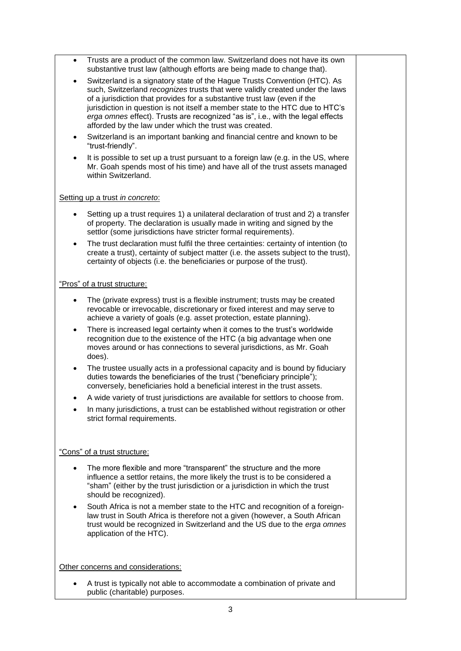- Trusts are a product of the common law. Switzerland does not have its own substantive trust law (although efforts are being made to change that).
- Switzerland is a signatory state of the Hague Trusts Convention (HTC). As such, Switzerland *recognizes* trusts that were validly created under the laws of a jurisdiction that provides for a substantive trust law (even if the jurisdiction in question is not itself a member state to the HTC due to HTC's *erga omnes* effect). Trusts are recognized "as is", i.e., with the legal effects afforded by the law under which the trust was created.
- Switzerland is an important banking and financial centre and known to be "trust-friendly".
- It is possible to set up a trust pursuant to a foreign law (e.g. in the US, where Mr. Goah spends most of his time) and have all of the trust assets managed within Switzerland.

#### Setting up a trust *in concreto*:

- Setting up a trust requires 1) a unilateral declaration of trust and 2) a transfer of property. The declaration is usually made in writing and signed by the settlor (some jurisdictions have stricter formal requirements).
- The trust declaration must fulfil the three certainties: certainty of intention (to create a trust), certainty of subject matter (i.e. the assets subject to the trust), certainty of objects (i.e. the beneficiaries or purpose of the trust).

## "Pros" of a trust structure:

- The (private express) trust is a flexible instrument; trusts may be created revocable or irrevocable, discretionary or fixed interest and may serve to achieve a variety of goals (e.g. asset protection, estate planning).
- There is increased legal certainty when it comes to the trust's worldwide recognition due to the existence of the HTC (a big advantage when one moves around or has connections to several jurisdictions, as Mr. Goah does).
- The trustee usually acts in a professional capacity and is bound by fiduciary duties towards the beneficiaries of the trust ("beneficiary principle"); conversely, beneficiaries hold a beneficial interest in the trust assets.
- A wide variety of trust jurisdictions are available for settlors to choose from.
- In many jurisdictions, a trust can be established without registration or other strict formal requirements.

## "Cons" of a trust structure:

- The more flexible and more "transparent" the structure and the more influence a settlor retains, the more likely the trust is to be considered a "sham" (either by the trust jurisdiction or a jurisdiction in which the trust should be recognized).
- South Africa is not a member state to the HTC and recognition of a foreignlaw trust in South Africa is therefore not a given (however, a South African trust would be recognized in Switzerland and the US due to the *erga omnes*  application of the HTC).

Other concerns and considerations:

 A trust is typically not able to accommodate a combination of private and public (charitable) purposes.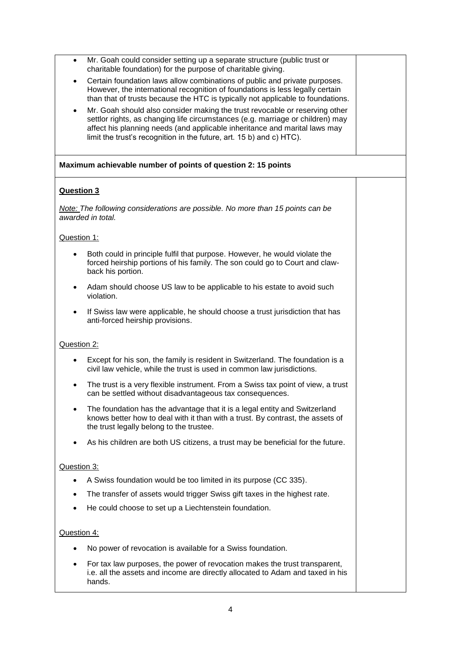- Mr. Goah could consider setting up a separate structure (public trust or charitable foundation) for the purpose of charitable giving.
- Certain foundation laws allow combinations of public and private purposes. However, the international recognition of foundations is less legally certain than that of trusts because the HTC is typically not applicable to foundations.
- Mr. Goah should also consider making the trust revocable or reserving other settlor rights, as changing life circumstances (e.g. marriage or children) may affect his planning needs (and applicable inheritance and marital laws may limit the trust's recognition in the future, art. 15 b) and c) HTC).

### **Maximum achievable number of points of question 2: 15 points**

## **Question 3**

*Note: The following considerations are possible. No more than 15 points can be awarded in total.*

#### Question 1:

- Both could in principle fulfil that purpose. However, he would violate the forced heirship portions of his family. The son could go to Court and clawback his portion.
- Adam should choose US law to be applicable to his estate to avoid such violation.
- If Swiss law were applicable, he should choose a trust jurisdiction that has anti-forced heirship provisions.

#### Question 2:

- Except for his son, the family is resident in Switzerland. The foundation is a civil law vehicle, while the trust is used in common law jurisdictions.
- The trust is a very flexible instrument. From a Swiss tax point of view, a trust can be settled without disadvantageous tax consequences.
- The foundation has the advantage that it is a legal entity and Switzerland knows better how to deal with it than with a trust. By contrast, the assets of the trust legally belong to the trustee.
- As his children are both US citizens, a trust may be beneficial for the future.

#### Question 3:

- A Swiss foundation would be too limited in its purpose (CC 335).
- The transfer of assets would trigger Swiss gift taxes in the highest rate.
- He could choose to set up a Liechtenstein foundation.

#### Question 4:

- No power of revocation is available for a Swiss foundation.
- For tax law purposes, the power of revocation makes the trust transparent, i.e. all the assets and income are directly allocated to Adam and taxed in his hands.